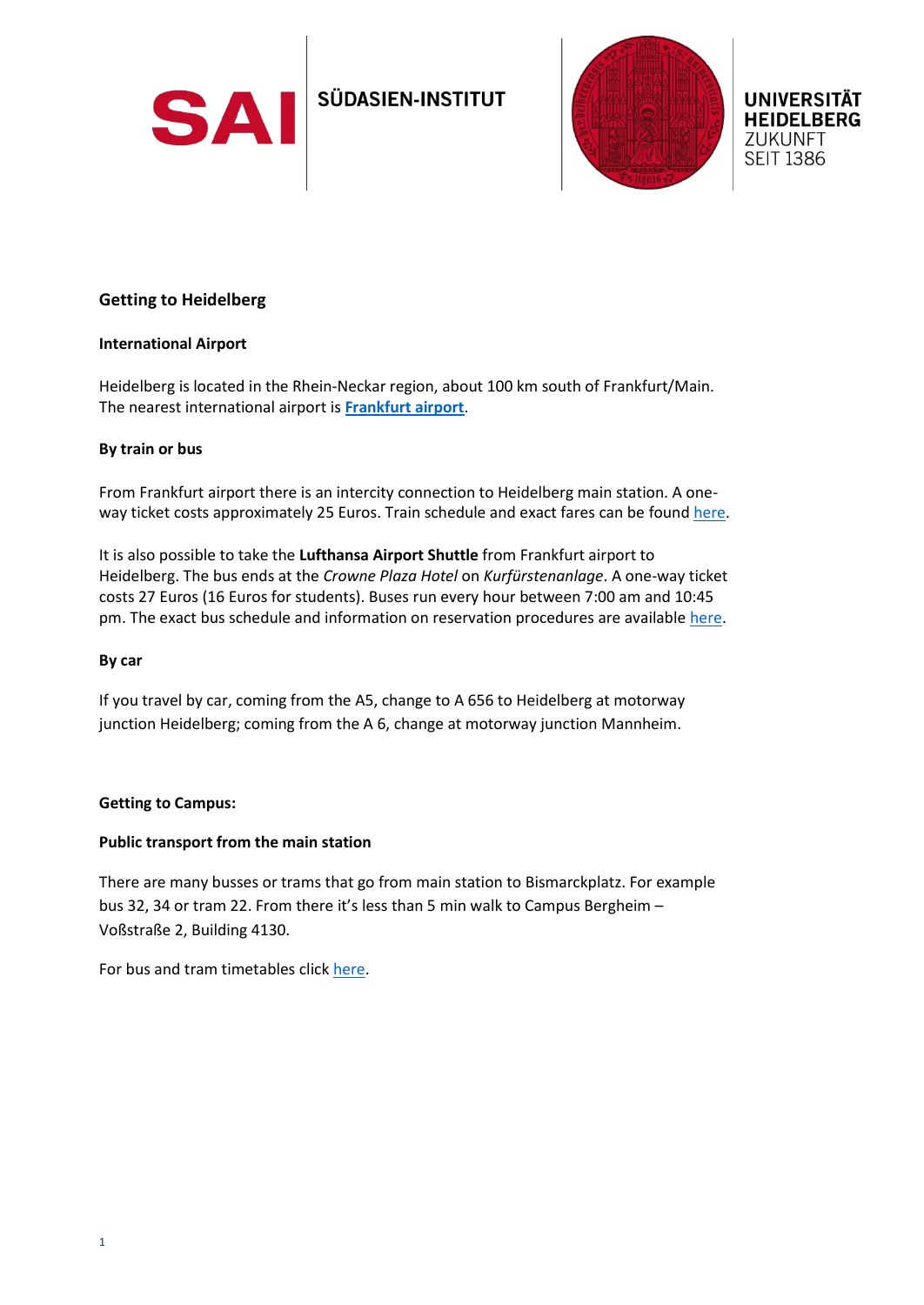



# **Getting to Heidelberg**

### **International Airport**

Heidelberg is located in the Rhein-Neckar region, about 100 km south of Frankfurt/Main. The nearest international airport is **[Frankfurt airport](https://www.frankfurt-airport.com/de.html)**.

## **By train or bus**

From Frankfurt airport there is an intercity connection to Heidelberg main station. A oneway ticket costs approximately 25 Euros. Train schedule and exact fares can be found [here.](https://www.bahn.com/en#slc)

It is also possible to take the **Lufthansa Airport Shuttle** from Frankfurt airport to Heidelberg. The bus ends at the *Crowne Plaza Hotel* on *Kurfürstenanlage*. A one-way ticket costs 27 Euros (16 Euros for students). Buses run every hour between 7:00 am and 10:45 pm. The exact bus schedule and information on reservation procedures are available [here.](http://frankfurt-airport-shuttles.de/en/home-2/)

### **By car**

If you travel by car, coming from the A5, change to A 656 to Heidelberg at motorway junction Heidelberg; coming from the A 6, change at motorway junction Mannheim.

### **Getting to Campus:**

### **Public transport from the main station**

There are many busses or trams that go from main station to Bismarckplatz. For example bus 32, 34 or tram 22. From there it's less than 5 min walk to Campus Bergheim – Voßstraße 2, Building 4130.

For bus and tram timetables clic[k here.](https://www.vrn.de/mng/#/XSLT_TRIP_REQUEST2@init)